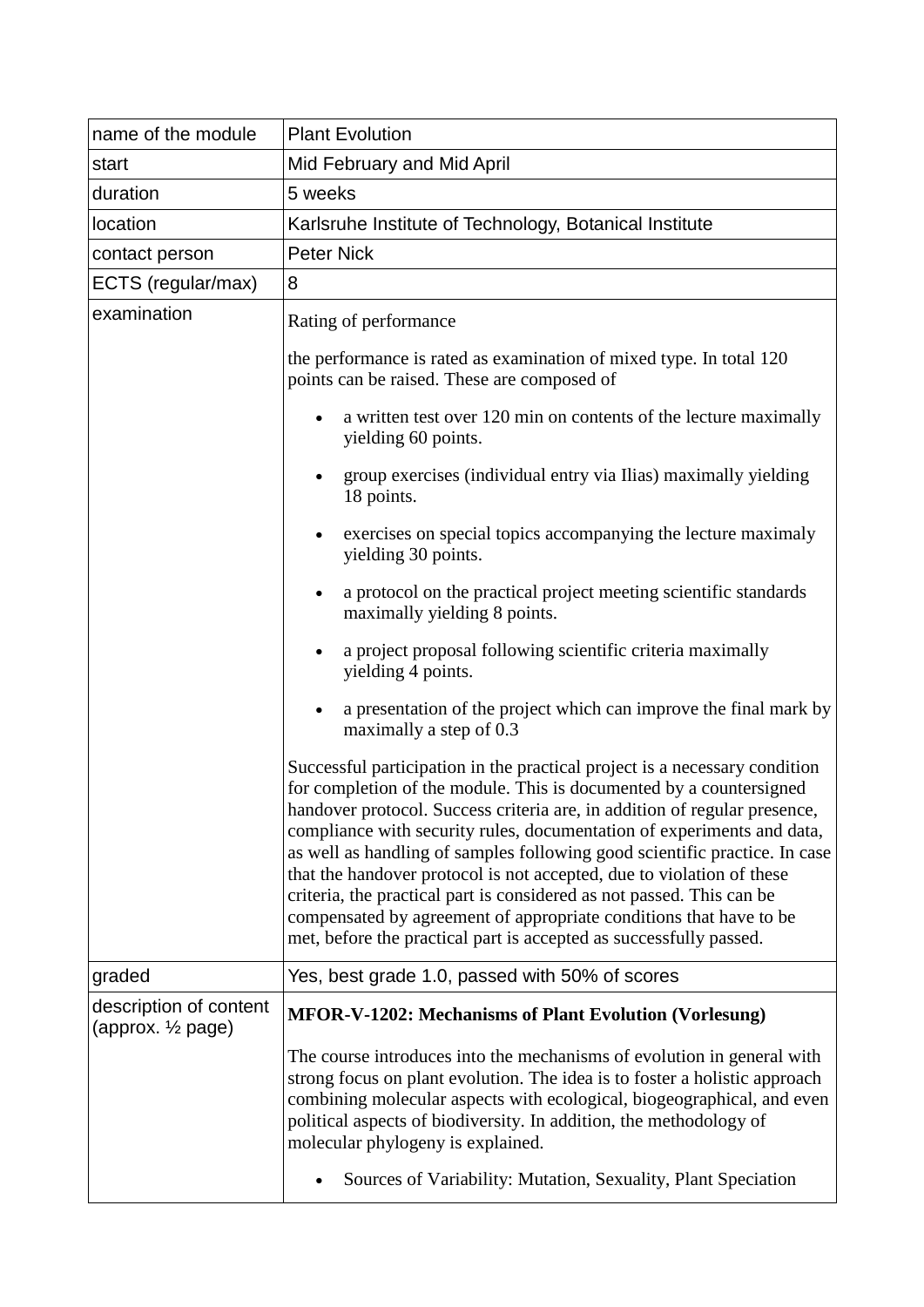| name of the module                                       | <b>Plant Evolution</b>                                                                                                                                                                                                                                                                                                                                                                                                                                                                                                                                                                                                                                                               |  |  |  |
|----------------------------------------------------------|--------------------------------------------------------------------------------------------------------------------------------------------------------------------------------------------------------------------------------------------------------------------------------------------------------------------------------------------------------------------------------------------------------------------------------------------------------------------------------------------------------------------------------------------------------------------------------------------------------------------------------------------------------------------------------------|--|--|--|
| start                                                    | Mid February and Mid April                                                                                                                                                                                                                                                                                                                                                                                                                                                                                                                                                                                                                                                           |  |  |  |
| duration                                                 | 5 weeks                                                                                                                                                                                                                                                                                                                                                                                                                                                                                                                                                                                                                                                                              |  |  |  |
| location                                                 | Karlsruhe Institute of Technology, Botanical Institute                                                                                                                                                                                                                                                                                                                                                                                                                                                                                                                                                                                                                               |  |  |  |
| contact person                                           | <b>Peter Nick</b>                                                                                                                                                                                                                                                                                                                                                                                                                                                                                                                                                                                                                                                                    |  |  |  |
| ECTS (regular/max)                                       | 8                                                                                                                                                                                                                                                                                                                                                                                                                                                                                                                                                                                                                                                                                    |  |  |  |
| examination                                              | Rating of performance                                                                                                                                                                                                                                                                                                                                                                                                                                                                                                                                                                                                                                                                |  |  |  |
|                                                          | the performance is rated as examination of mixed type. In total 120<br>points can be raised. These are composed of                                                                                                                                                                                                                                                                                                                                                                                                                                                                                                                                                                   |  |  |  |
|                                                          | a written test over 120 min on contents of the lecture maximally<br>yielding 60 points.                                                                                                                                                                                                                                                                                                                                                                                                                                                                                                                                                                                              |  |  |  |
|                                                          | group exercises (individual entry via Ilias) maximally yielding<br>18 points.                                                                                                                                                                                                                                                                                                                                                                                                                                                                                                                                                                                                        |  |  |  |
|                                                          | exercises on special topics accompanying the lecture maximaly<br>$\bullet$<br>yielding 30 points.                                                                                                                                                                                                                                                                                                                                                                                                                                                                                                                                                                                    |  |  |  |
|                                                          | a protocol on the practical project meeting scientific standards<br>maximally yielding 8 points.                                                                                                                                                                                                                                                                                                                                                                                                                                                                                                                                                                                     |  |  |  |
|                                                          | a project proposal following scientific criteria maximally<br>yielding 4 points.                                                                                                                                                                                                                                                                                                                                                                                                                                                                                                                                                                                                     |  |  |  |
|                                                          | a presentation of the project which can improve the final mark by<br>maximally a step of 0.3                                                                                                                                                                                                                                                                                                                                                                                                                                                                                                                                                                                         |  |  |  |
|                                                          | Successful participation in the practical project is a necessary condition<br>for completion of the module. This is documented by a countersigned<br>handover protocol. Success criteria are, in addition of regular presence,<br>compliance with security rules, documentation of experiments and data,<br>as well as handling of samples following good scientific practice. In case<br>that the handover protocol is not accepted, due to violation of these<br>criteria, the practical part is considered as not passed. This can be<br>compensated by agreement of appropriate conditions that have to be<br>met, before the practical part is accepted as successfully passed. |  |  |  |
| graded                                                   | Yes, best grade 1.0, passed with 50% of scores                                                                                                                                                                                                                                                                                                                                                                                                                                                                                                                                                                                                                                       |  |  |  |
| description of content<br>(approx. 1/ <sub>2</sub> page) | <b>MFOR-V-1202: Mechanisms of Plant Evolution (Vorlesung)</b>                                                                                                                                                                                                                                                                                                                                                                                                                                                                                                                                                                                                                        |  |  |  |
|                                                          | The course introduces into the mechanisms of evolution in general with<br>strong focus on plant evolution. The idea is to foster a holistic approach<br>combining molecular aspects with ecological, biogeographical, and even<br>political aspects of biodiversity. In addition, the methodology of<br>molecular phylogeny is explained.                                                                                                                                                                                                                                                                                                                                            |  |  |  |
|                                                          | Sources of Variability: Mutation, Sexuality, Plant Speciation                                                                                                                                                                                                                                                                                                                                                                                                                                                                                                                                                                                                                        |  |  |  |